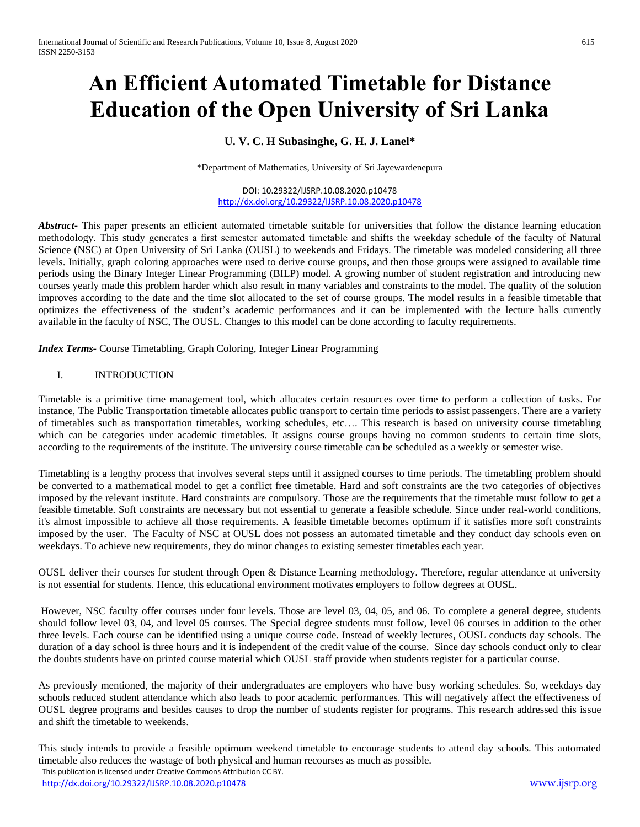# **An Efficient Automated Timetable for Distance Education of the Open University of Sri Lanka**

## **U. V. C. H Subasinghe, G. H. J. Lanel\***

\*Department of Mathematics, University of Sri Jayewardenepura

#### DOI: 10.29322/IJSRP.10.08.2020.p10478 <http://dx.doi.org/10.29322/IJSRP.10.08.2020.p10478>

*Abstract***-** This paper presents an efficient automated timetable suitable for universities that follow the distance learning education methodology. This study generates a first semester automated timetable and shifts the weekday schedule of the faculty of Natural Science (NSC) at Open University of Sri Lanka (OUSL) to weekends and Fridays. The timetable was modeled considering all three levels. Initially, graph coloring approaches were used to derive course groups, and then those groups were assigned to available time periods using the Binary Integer Linear Programming (BILP) model. A growing number of student registration and introducing new courses yearly made this problem harder which also result in many variables and constraints to the model. The quality of the solution improves according to the date and the time slot allocated to the set of course groups. The model results in a feasible timetable that optimizes the effectiveness of the student's academic performances and it can be implemented with the lecture halls currently available in the faculty of NSC, The OUSL. Changes to this model can be done according to faculty requirements.

*Index Terms-* Course Timetabling, Graph Coloring, Integer Linear Programming

#### I. INTRODUCTION

Timetable is a primitive time management tool, which allocates certain resources over time to perform a collection of tasks. For instance, The Public Transportation timetable allocates public transport to certain time periods to assist passengers. There are a variety of timetables such as transportation timetables, working schedules, etc…. This research is based on university course timetabling which can be categories under academic timetables. It assigns course groups having no common students to certain time slots, according to the requirements of the institute. The university course timetable can be scheduled as a weekly or semester wise.

Timetabling is a lengthy process that involves several steps until it assigned courses to time periods. The timetabling problem should be converted to a mathematical model to get a conflict free timetable. Hard and soft constraints are the two categories of objectives imposed by the relevant institute. Hard constraints are compulsory. Those are the requirements that the timetable must follow to get a feasible timetable. Soft constraints are necessary but not essential to generate a feasible schedule. Since under real-world conditions, it's almost impossible to achieve all those requirements. A feasible timetable becomes optimum if it satisfies more soft constraints imposed by the user. The Faculty of NSC at OUSL does not possess an automated timetable and they conduct day schools even on weekdays. To achieve new requirements, they do minor changes to existing semester timetables each year.

OUSL deliver their courses for student through Open & Distance Learning methodology. Therefore, regular attendance at university is not essential for students. Hence, this educational environment motivates employers to follow degrees at OUSL.

However, NSC faculty offer courses under four levels. Those are level 03, 04, 05, and 06. To complete a general degree, students should follow level 03, 04, and level 05 courses. The Special degree students must follow, level 06 courses in addition to the other three levels. Each course can be identified using a unique course code. Instead of weekly lectures, OUSL conducts day schools. The duration of a day school is three hours and it is independent of the credit value of the course. Since day schools conduct only to clear the doubts students have on printed course material which OUSL staff provide when students register for a particular course.

As previously mentioned, the majority of their undergraduates are employers who have busy working schedules. So, weekdays day schools reduced student attendance which also leads to poor academic performances. This will negatively affect the effectiveness of OUSL degree programs and besides causes to drop the number of students register for programs. This research addressed this issue and shift the timetable to weekends.

 This publication is licensed under Creative Commons Attribution CC BY. This study intends to provide a feasible optimum weekend timetable to encourage students to attend day schools. This automated timetable also reduces the wastage of both physical and human recourses as much as possible.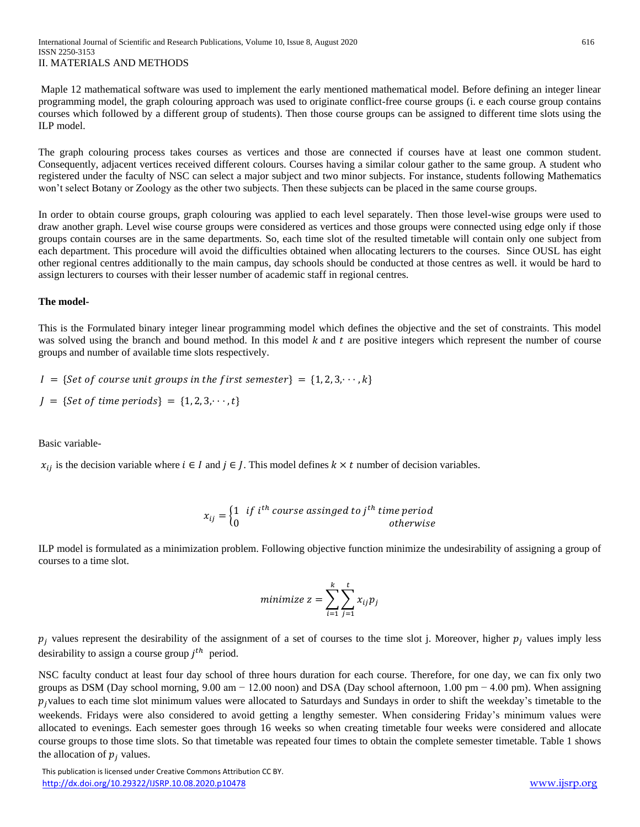Maple 12 mathematical software was used to implement the early mentioned mathematical model. Before defining an integer linear programming model, the graph colouring approach was used to originate conflict-free course groups (i. e each course group contains courses which followed by a different group of students). Then those course groups can be assigned to different time slots using the ILP model.

The graph colouring process takes courses as vertices and those are connected if courses have at least one common student. Consequently, adjacent vertices received different colours. Courses having a similar colour gather to the same group. A student who registered under the faculty of NSC can select a major subject and two minor subjects. For instance, students following Mathematics won't select Botany or Zoology as the other two subjects. Then these subjects can be placed in the same course groups.

In order to obtain course groups, graph colouring was applied to each level separately. Then those level-wise groups were used to draw another graph. Level wise course groups were considered as vertices and those groups were connected using edge only if those groups contain courses are in the same departments. So, each time slot of the resulted timetable will contain only one subject from each department. This procedure will avoid the difficulties obtained when allocating lecturers to the courses. Since OUSL has eight other regional centres additionally to the main campus, day schools should be conducted at those centres as well. it would be hard to assign lecturers to courses with their lesser number of academic staff in regional centres.

#### **The model-**

This is the Formulated binary integer linear programming model which defines the objective and the set of constraints. This model was solved using the branch and bound method. In this model  $k$  and  $t$  are positive integers which represent the number of course groups and number of available time slots respectively.

 $I = \{ Set \ of \ course \ unit \ groups \ in \ the \ first \ semester \} = \{1, 2, 3, \cdots, k \}$  $J = {Set of time periods} = {1, 2, 3, \cdots, t}$ 

Basic variable-

 $x_{ij}$  is the decision variable where  $i \in I$  and  $j \in J$ . This model defines  $k \times t$  number of decision variables.

$$
x_{ij} = \begin{cases} 1 & \text{if } i^{th} \text{ course assigned to } j^{th} \text{ time period} \\ 0 & \text{otherwise} \end{cases}
$$

ILP model is formulated as a minimization problem. Following objective function minimize the undesirability of assigning a group of courses to a time slot.

$$
minimize z = \sum_{i=1}^{k} \sum_{j=1}^{t} x_{ij} p_j
$$

 $p_i$  values represent the desirability of the assignment of a set of courses to the time slot j. Moreover, higher  $p_i$  values imply less desirability to assign a course group  $j^{th}$  period.

NSC faculty conduct at least four day school of three hours duration for each course. Therefore, for one day, we can fix only two groups as DSM (Day school morning, 9.00 am − 12.00 noon) and DSA (Day school afternoon, 1.00 pm − 4.00 pm). When assigning  $p_j$  values to each time slot minimum values were allocated to Saturdays and Sundays in order to shift the weekday's timetable to the weekends. Fridays were also considered to avoid getting a lengthy semester. When considering Friday's minimum values were allocated to evenings. Each semester goes through 16 weeks so when creating timetable four weeks were considered and allocate course groups to those time slots. So that timetable was repeated four times to obtain the complete semester timetable. Table 1 shows the allocation of  $p_i$  values.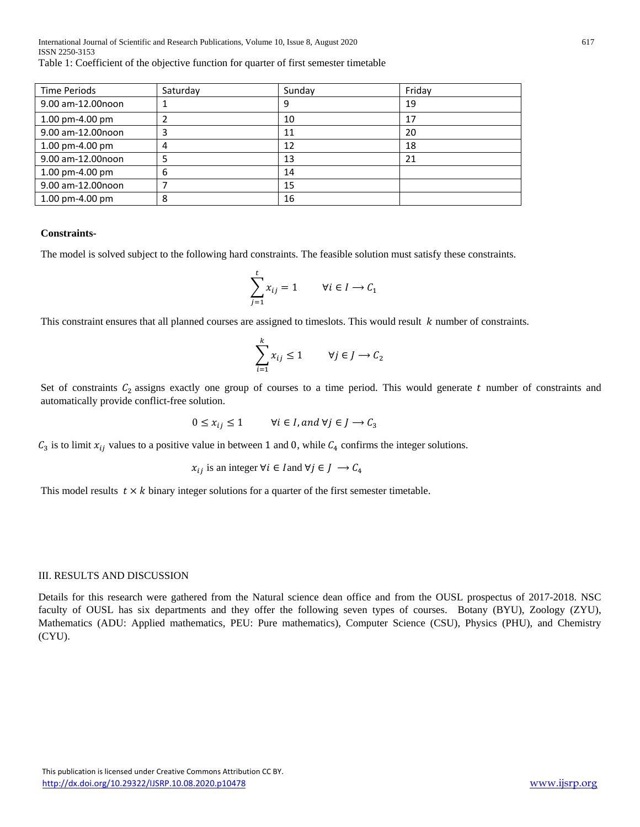International Journal of Scientific and Research Publications, Volume 10, Issue 8, August 2020 617 ISSN 2250-3153 Table 1: Coefficient of the objective function for quarter of first semester timetable

| Time Periods      | Saturday | Sunday | Friday |
|-------------------|----------|--------|--------|
| 9.00 am-12.00noon |          | 9      | 19     |
| 1.00 pm-4.00 pm   |          | 10     | 17     |
| 9.00 am-12.00noon | 3        | 11     | 20     |
| 1.00 pm-4.00 pm   | 4        | 12     | 18     |
| 9.00 am-12.00noon |          | 13     | 21     |
| 1.00 pm-4.00 pm   | 6        | 14     |        |
| 9.00 am-12.00noon |          | 15     |        |
| 1.00 pm-4.00 pm   | 8        | 16     |        |

#### **Constraints-**

The model is solved subject to the following hard constraints. The feasible solution must satisfy these constraints.

$$
\sum_{j=1}^{t} x_{ij} = 1 \qquad \forall i \in I \longrightarrow C_1
$$

This constraint ensures that all planned courses are assigned to timeslots. This would result  $k$  number of constraints.

$$
\sum_{i=1}^{k} x_{ij} \le 1 \qquad \forall j \in J \longrightarrow C_2
$$

Set of constraints  $C_2$  assigns exactly one group of courses to a time period. This would generate  $t$  number of constraints and automatically provide conflict-free solution.

$$
0 \le x_{ij} \le 1 \qquad \forall i \in I, and \forall j \in J \rightarrow C_3
$$

 $C_3$  is to limit  $x_{ij}$  values to a positive value in between 1 and 0, while  $C_4$  confirms the integer solutions.

$$
x_{ij}
$$
 is an integer  $\forall i \in I$  and  $\forall j \in J \rightarrow C_4$ 

This model results  $t \times k$  binary integer solutions for a quarter of the first semester timetable.

#### III. RESULTS AND DISCUSSION

Details for this research were gathered from the Natural science dean office and from the OUSL prospectus of 2017-2018. NSC faculty of OUSL has six departments and they offer the following seven types of courses. Botany (BYU), Zoology (ZYU), Mathematics (ADU: Applied mathematics, PEU: Pure mathematics), Computer Science (CSU), Physics (PHU), and Chemistry (CYU).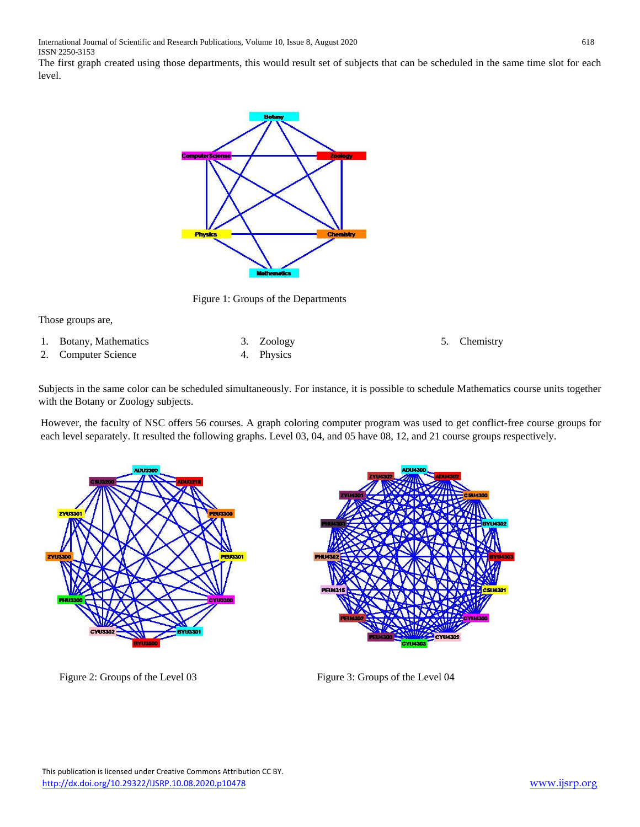The first graph created using those departments, this would result set of subjects that can be scheduled in the same time slot for each level.



Figure 1: Groups of the Departments

Those groups are,

- 1. Botany, Mathematics
- 2. Computer Science

3. Zoology 4. Physics

5. Chemistry

Subjects in the same color can be scheduled simultaneously. For instance, it is possible to schedule Mathematics course units together with the Botany or Zoology subjects.

However, the faculty of NSC offers 56 courses. A graph coloring computer program was used to get conflict-free course groups for each level separately. It resulted the following graphs. Level 03, 04, and 05 have 08, 12, and 21 course groups respectively.





Figure 2: Groups of the Level 03 Figure 3: Groups of the Level 04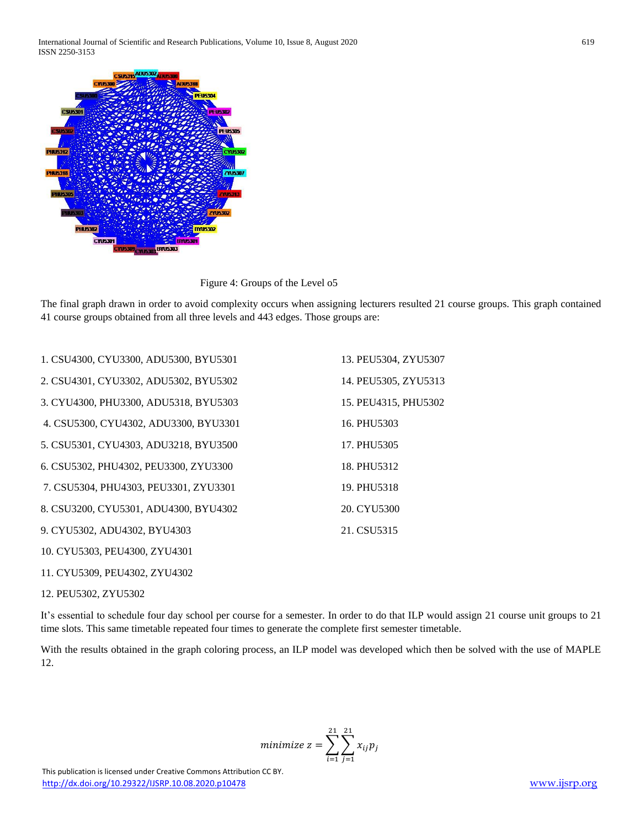International Journal of Scientific and Research Publications, Volume 10, Issue 8, August 2020 619 ISSN 2250-3153



Figure 4: Groups of the Level o5

The final graph drawn in order to avoid complexity occurs when assigning lecturers resulted 21 course groups. This graph contained 41 course groups obtained from all three levels and 443 edges. Those groups are:

| 1. CSU4300, CYU3300, ADU5300, BYU5301 | 13. PEU5304, ZYU5307 |
|---------------------------------------|----------------------|
| 2. CSU4301, CYU3302, ADU5302, BYU5302 | 14. PEU5305, ZYU5313 |
| 3. CYU4300, PHU3300, ADU5318, BYU5303 | 15. PEU4315, PHU5302 |
| 4. CSU5300, CYU4302, ADU3300, BYU3301 | 16. PHU5303          |
| 5. CSU5301, CYU4303, ADU3218, BYU3500 | 17. PHU5305          |
| 6. CSU5302, PHU4302, PEU3300, ZYU3300 | 18. PHU5312          |
| 7. CSU5304, PHU4303, PEU3301, ZYU3301 | 19. PHU5318          |
| 8. CSU3200, CYU5301, ADU4300, BYU4302 | 20. CYU5300          |
| 9. CYU5302, ADU4302, BYU4303          | 21. CSU5315          |
| 10. CYU5303, PEU4300, ZYU4301         |                      |

11. CYU5309, PEU4302, ZYU4302

12. PEU5302, ZYU5302

It's essential to schedule four day school per course for a semester. In order to do that ILP would assign 21 course unit groups to 21 time slots. This same timetable repeated four times to generate the complete first semester timetable.

With the results obtained in the graph coloring process, an ILP model was developed which then be solved with the use of MAPLE 12.

$$
minimize z = \sum_{i=1}^{21} \sum_{j=1}^{21} x_{ij} p_j
$$

 This publication is licensed under Creative Commons Attribution CC BY. <http://dx.doi.org/10.29322/IJSRP.10.08.2020.p10478> [www.ijsrp.org](http://ijsrp.org/)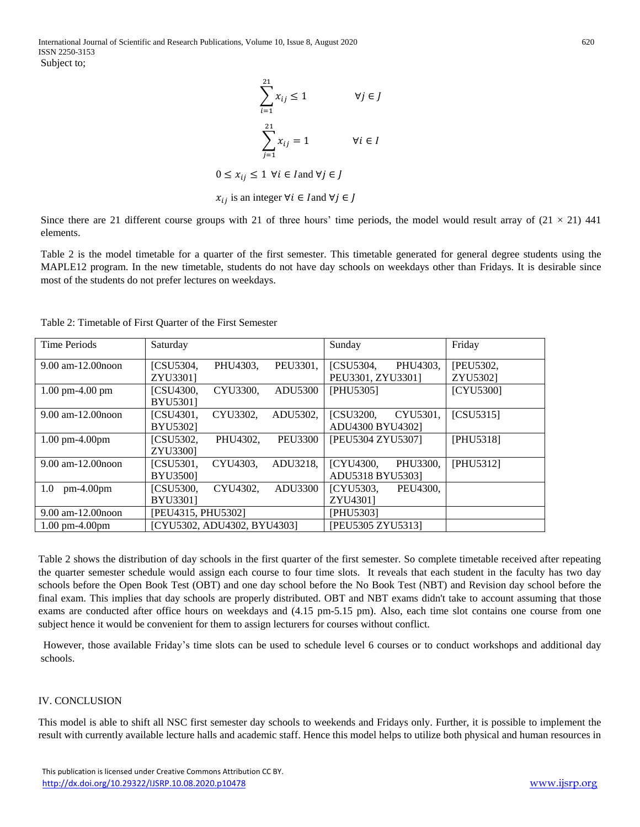$$
\sum_{i=1}^{21} x_{ij} \le 1 \qquad \forall j \in J
$$
  

$$
\sum_{j=1}^{21} x_{ij} = 1 \qquad \forall i \in I
$$
  

$$
0 \le x_{ij} \le 1 \forall i \in I \text{ and } \forall j \in J
$$

 $x_{ij}$  is an integer  $\forall i \in I$  and  $\forall j \in J$ 

Since there are 21 different course groups with 21 of three hours' time periods, the model would result array of  $(21 \times 21)$  441 elements.

Table 2 is the model timetable for a quarter of the first semester. This timetable generated for general degree students using the MAPLE12 program. In the new timetable, students do not have day schools on weekdays other than Fridays. It is desirable since most of the students do not prefer lectures on weekdays.

| Time Periods                       | Saturday                    |          |                   | Sunday            |          | Friday    |
|------------------------------------|-----------------------------|----------|-------------------|-------------------|----------|-----------|
|                                    |                             |          |                   |                   |          |           |
|                                    |                             |          |                   |                   |          |           |
| 9.00 am-12.00 noon                 | [CSU5304,                   | PHU4303. | PEU3301.          | <b>[CSU5304,</b>  | PHU4303. | [PEU5302, |
|                                    | ZYU3301]                    |          |                   | PEU3301, ZYU3301] |          | ZYU5302]  |
| $1.00$ pm- $4.00$ pm               | [CSU4300,                   | CYU3300. | <b>ADU5300</b>    | [PHU5305]         |          | [CYU5300] |
|                                    | BYU5301]                    |          |                   |                   |          |           |
| 9.00 am-12.00 noon                 | [CSU4301,                   | CYU3302, | ADU5302,          | [CSU3200,         | CYU5301, | [CSU5315] |
|                                    | BYU5302]                    |          |                   | ADU4300 BYU4302]  |          |           |
| $1.00$ pm-4.00pm                   | [CSU5302,                   | PHU4302. | <b>PEU3300</b>    | [PEU5304 ZYU5307] |          | [PHU5318] |
|                                    | ZYU3300]                    |          |                   |                   |          |           |
| 9.00 am-12.00 noon                 | [CSU5301,                   | CYU4303. | ADU3218.          | <b>ICYU4300.</b>  | PHU3300. | [PHU5312] |
|                                    | <b>BYU3500</b> ]            |          |                   | ADU5318 BYU53031  |          |           |
| 1.0<br>$pm-4.00$ pm                | [CSU5300,                   | CYU4302. | ADU3300           | [CYU5303,         | PEU4300. |           |
|                                    | <b>BYU33011</b>             |          |                   | ZYU4301]          |          |           |
| 9.00 am-12.00 noon                 | [PEU4315, PHU5302]          |          |                   | [PHU5303]         |          |           |
| $1.00 \text{ pm} - 4.00 \text{pm}$ | [CYU5302, ADU4302, BYU4303] |          | [PEU5305 ZYU5313] |                   |          |           |

Table 2: Timetable of First Quarter of the First Semester

Table 2 shows the distribution of day schools in the first quarter of the first semester. So complete timetable received after repeating the quarter semester schedule would assign each course to four time slots. It reveals that each student in the faculty has two day schools before the Open Book Test (OBT) and one day school before the No Book Test (NBT) and Revision day school before the final exam. This implies that day schools are properly distributed. OBT and NBT exams didn't take to account assuming that those exams are conducted after office hours on weekdays and (4.15 pm-5.15 pm). Also, each time slot contains one course from one subject hence it would be convenient for them to assign lecturers for courses without conflict.

However, those available Friday's time slots can be used to schedule level 6 courses or to conduct workshops and additional day schools.

### IV. CONCLUSION

This model is able to shift all NSC first semester day schools to weekends and Fridays only. Further, it is possible to implement the result with currently available lecture halls and academic staff. Hence this model helps to utilize both physical and human resources in